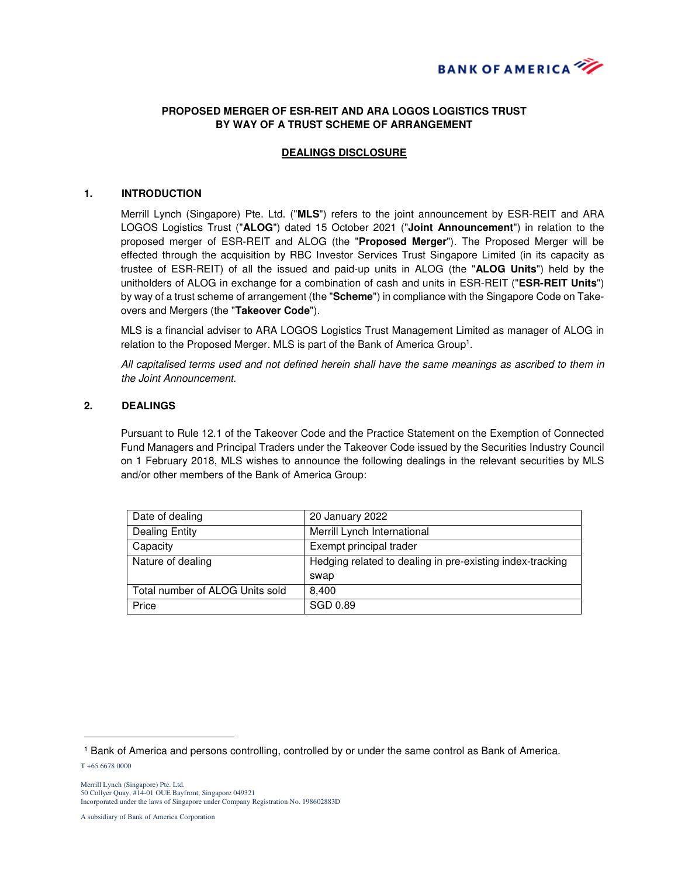

# **PROPOSED MERGER OF ESR-REIT AND ARA LOGOS LOGISTICS TRUST BY WAY OF A TRUST SCHEME OF ARRANGEMENT**

## **DEALINGS DISCLOSURE**

#### **1. INTRODUCTION**

Merrill Lynch (Singapore) Pte. Ltd. ("**MLS**") refers to the joint announcement by ESR-REIT and ARA LOGOS Logistics Trust ("**ALOG**") dated 15 October 2021 ("**Joint Announcement**") in relation to the proposed merger of ESR-REIT and ALOG (the "**Proposed Merger**"). The Proposed Merger will be effected through the acquisition by RBC Investor Services Trust Singapore Limited (in its capacity as trustee of ESR-REIT) of all the issued and paid-up units in ALOG (the "**ALOG Units**") held by the unitholders of ALOG in exchange for a combination of cash and units in ESR-REIT ("**ESR-REIT Units**") by way of a trust scheme of arrangement (the "**Scheme**") in compliance with the Singapore Code on Takeovers and Mergers (the "**Takeover Code**").

MLS is a financial adviser to ARA LOGOS Logistics Trust Management Limited as manager of ALOG in relation to the Proposed Merger. MLS is part of the Bank of America Group<sup>1</sup>.

All capitalised terms used and not defined herein shall have the same meanings as ascribed to them in the Joint Announcement.

### **2. DEALINGS**

Pursuant to Rule 12.1 of the Takeover Code and the Practice Statement on the Exemption of Connected Fund Managers and Principal Traders under the Takeover Code issued by the Securities Industry Council on 1 February 2018, MLS wishes to announce the following dealings in the relevant securities by MLS and/or other members of the Bank of America Group:

| Date of dealing                 | 20 January 2022                                           |
|---------------------------------|-----------------------------------------------------------|
| <b>Dealing Entity</b>           | Merrill Lynch International                               |
| Capacity                        | Exempt principal trader                                   |
| Nature of dealing               | Hedging related to dealing in pre-existing index-tracking |
|                                 | swap                                                      |
| Total number of ALOG Units sold | 8.400                                                     |
| Price                           | SGD 0.89                                                  |

 $\overline{a}$ 

<sup>1</sup> Bank of America and persons controlling, controlled by or under the same control as Bank of America.

T +65 6678 0000